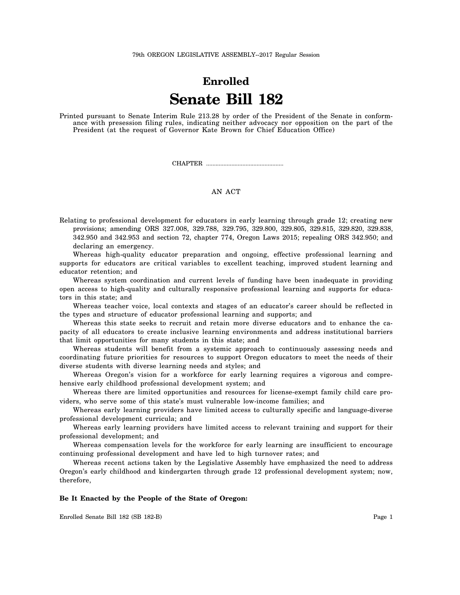# **Enrolled Senate Bill 182**

Printed pursuant to Senate Interim Rule 213.28 by order of the President of the Senate in conformance with presession filing rules, indicating neither advocacy nor opposition on the part of the President (at the request of Governor Kate Brown for Chief Education Office)

CHAPTER .................................................

## AN ACT

Relating to professional development for educators in early learning through grade 12; creating new provisions; amending ORS 327.008, 329.788, 329.795, 329.800, 329.805, 329.815, 329.820, 329.838, 342.950 and 342.953 and section 72, chapter 774, Oregon Laws 2015; repealing ORS 342.950; and declaring an emergency.

Whereas high-quality educator preparation and ongoing, effective professional learning and supports for educators are critical variables to excellent teaching, improved student learning and educator retention; and

Whereas system coordination and current levels of funding have been inadequate in providing open access to high-quality and culturally responsive professional learning and supports for educators in this state; and

Whereas teacher voice, local contexts and stages of an educator's career should be reflected in the types and structure of educator professional learning and supports; and

Whereas this state seeks to recruit and retain more diverse educators and to enhance the capacity of all educators to create inclusive learning environments and address institutional barriers that limit opportunities for many students in this state; and

Whereas students will benefit from a systemic approach to continuously assessing needs and coordinating future priorities for resources to support Oregon educators to meet the needs of their diverse students with diverse learning needs and styles; and

Whereas Oregon's vision for a workforce for early learning requires a vigorous and comprehensive early childhood professional development system; and

Whereas there are limited opportunities and resources for license-exempt family child care providers, who serve some of this state's must vulnerable low-income families; and

Whereas early learning providers have limited access to culturally specific and language-diverse professional development curricula; and

Whereas early learning providers have limited access to relevant training and support for their professional development; and

Whereas compensation levels for the workforce for early learning are insufficient to encourage continuing professional development and have led to high turnover rates; and

Whereas recent actions taken by the Legislative Assembly have emphasized the need to address Oregon's early childhood and kindergarten through grade 12 professional development system; now, therefore,

#### **Be It Enacted by the People of the State of Oregon:**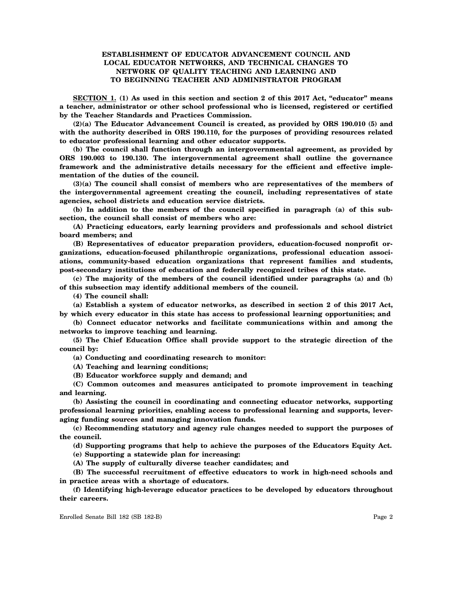## **ESTABLISHMENT OF EDUCATOR ADVANCEMENT COUNCIL AND LOCAL EDUCATOR NETWORKS, AND TECHNICAL CHANGES TO NETWORK OF QUALITY TEACHING AND LEARNING AND TO BEGINNING TEACHER AND ADMINISTRATOR PROGRAM**

**SECTION 1. (1) As used in this section and section 2 of this 2017 Act, "educator" means a teacher, administrator or other school professional who is licensed, registered or certified by the Teacher Standards and Practices Commission.**

**(2)(a) The Educator Advancement Council is created, as provided by ORS 190.010 (5) and with the authority described in ORS 190.110, for the purposes of providing resources related to educator professional learning and other educator supports.**

**(b) The council shall function through an intergovernmental agreement, as provided by ORS 190.003 to 190.130. The intergovernmental agreement shall outline the governance framework and the administrative details necessary for the efficient and effective implementation of the duties of the council.**

**(3)(a) The council shall consist of members who are representatives of the members of the intergovernmental agreement creating the council, including representatives of state agencies, school districts and education service districts.**

**(b) In addition to the members of the council specified in paragraph (a) of this subsection, the council shall consist of members who are:**

**(A) Practicing educators, early learning providers and professionals and school district board members; and**

**(B) Representatives of educator preparation providers, education-focused nonprofit organizations, education-focused philanthropic organizations, professional education associations, community-based education organizations that represent families and students, post-secondary institutions of education and federally recognized tribes of this state.**

**(c) The majority of the members of the council identified under paragraphs (a) and (b) of this subsection may identify additional members of the council.**

**(4) The council shall:**

**(a) Establish a system of educator networks, as described in section 2 of this 2017 Act, by which every educator in this state has access to professional learning opportunities; and**

**(b) Connect educator networks and facilitate communications within and among the networks to improve teaching and learning.**

**(5) The Chief Education Office shall provide support to the strategic direction of the council by:**

**(a) Conducting and coordinating research to monitor:**

**(A) Teaching and learning conditions;**

**(B) Educator workforce supply and demand; and**

**(C) Common outcomes and measures anticipated to promote improvement in teaching and learning.**

**(b) Assisting the council in coordinating and connecting educator networks, supporting professional learning priorities, enabling access to professional learning and supports, leveraging funding sources and managing innovation funds.**

**(c) Recommending statutory and agency rule changes needed to support the purposes of the council.**

**(d) Supporting programs that help to achieve the purposes of the Educators Equity Act.**

**(e) Supporting a statewide plan for increasing:**

**(A) The supply of culturally diverse teacher candidates; and**

**(B) The successful recruitment of effective educators to work in high-need schools and in practice areas with a shortage of educators.**

**(f) Identifying high-leverage educator practices to be developed by educators throughout their careers.**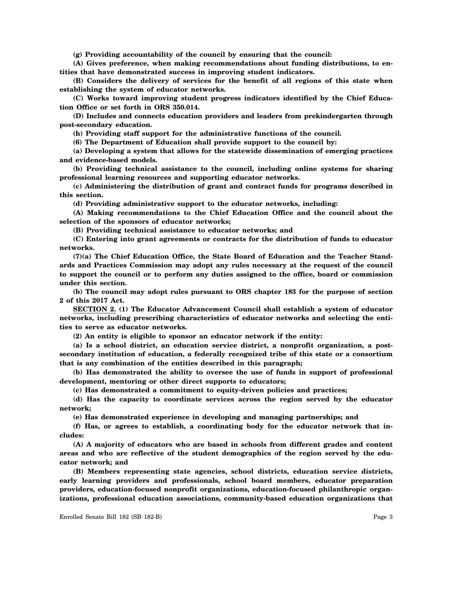**(g) Providing accountability of the council by ensuring that the council:**

**(A) Gives preference, when making recommendations about funding distributions, to entities that have demonstrated success in improving student indicators.**

**(B) Considers the delivery of services for the benefit of all regions of this state when establishing the system of educator networks.**

**(C) Works toward improving student progress indicators identified by the Chief Education Office or set forth in ORS 350.014.**

**(D) Includes and connects education providers and leaders from prekindergarten through post-secondary education.**

**(h) Providing staff support for the administrative functions of the council.**

**(6) The Department of Education shall provide support to the council by:**

**(a) Developing a system that allows for the statewide dissemination of emerging practices and evidence-based models.**

**(b) Providing technical assistance to the council, including online systems for sharing professional learning resources and supporting educator networks.**

**(c) Administering the distribution of grant and contract funds for programs described in this section.**

**(d) Providing administrative support to the educator networks, including:**

**(A) Making recommendations to the Chief Education Office and the council about the selection of the sponsors of educator networks;**

**(B) Providing technical assistance to educator networks; and**

**(C) Entering into grant agreements or contracts for the distribution of funds to educator networks.**

**(7)(a) The Chief Education Office, the State Board of Education and the Teacher Standards and Practices Commission may adopt any rules necessary at the request of the council to support the council or to perform any duties assigned to the office, board or commission under this section.**

**(b) The council may adopt rules pursuant to ORS chapter 183 for the purpose of section 2 of this 2017 Act.**

**SECTION 2. (1) The Educator Advancement Council shall establish a system of educator networks, including prescribing characteristics of educator networks and selecting the entities to serve as educator networks.**

**(2) An entity is eligible to sponsor an educator network if the entity:**

**(a) Is a school district, an education service district, a nonprofit organization, a postsecondary institution of education, a federally recognized tribe of this state or a consortium that is any combination of the entities described in this paragraph;**

**(b) Has demonstrated the ability to oversee the use of funds in support of professional development, mentoring or other direct supports to educators;**

**(c) Has demonstrated a commitment to equity-driven policies and practices;**

**(d) Has the capacity to coordinate services across the region served by the educator network;**

**(e) Has demonstrated experience in developing and managing partnerships; and**

**(f) Has, or agrees to establish, a coordinating body for the educator network that includes:**

**(A) A majority of educators who are based in schools from different grades and content areas and who are reflective of the student demographics of the region served by the educator network; and**

**(B) Members representing state agencies, school districts, education service districts, early learning providers and professionals, school board members, educator preparation providers, education-focused nonprofit organizations, education-focused philanthropic organizations, professional education associations, community-based education organizations that**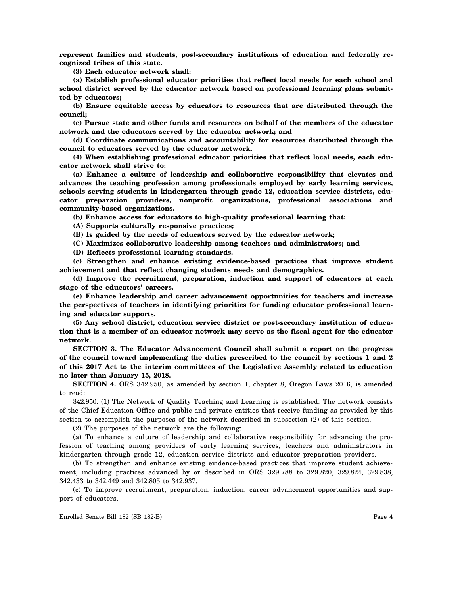**represent families and students, post-secondary institutions of education and federally recognized tribes of this state.**

**(3) Each educator network shall:**

**(a) Establish professional educator priorities that reflect local needs for each school and school district served by the educator network based on professional learning plans submitted by educators;**

**(b) Ensure equitable access by educators to resources that are distributed through the council;**

**(c) Pursue state and other funds and resources on behalf of the members of the educator network and the educators served by the educator network; and**

**(d) Coordinate communications and accountability for resources distributed through the council to educators served by the educator network.**

**(4) When establishing professional educator priorities that reflect local needs, each educator network shall strive to:**

**(a) Enhance a culture of leadership and collaborative responsibility that elevates and advances the teaching profession among professionals employed by early learning services, schools serving students in kindergarten through grade 12, education service districts, educator preparation providers, nonprofit organizations, professional associations and community-based organizations.**

**(b) Enhance access for educators to high-quality professional learning that:**

**(A) Supports culturally responsive practices;**

**(B) Is guided by the needs of educators served by the educator network;**

**(C) Maximizes collaborative leadership among teachers and administrators; and**

**(D) Reflects professional learning standards.**

**(c) Strengthen and enhance existing evidence-based practices that improve student achievement and that reflect changing students needs and demographics.**

**(d) Improve the recruitment, preparation, induction and support of educators at each stage of the educators' careers.**

**(e) Enhance leadership and career advancement opportunities for teachers and increase the perspectives of teachers in identifying priorities for funding educator professional learning and educator supports.**

**(5) Any school district, education service district or post-secondary institution of education that is a member of an educator network may serve as the fiscal agent for the educator network.**

**SECTION 3. The Educator Advancement Council shall submit a report on the progress of the council toward implementing the duties prescribed to the council by sections 1 and 2 of this 2017 Act to the interim committees of the Legislative Assembly related to education no later than January 15, 2018.**

**SECTION 4.** ORS 342.950, as amended by section 1, chapter 8, Oregon Laws 2016, is amended to read:

342.950. (1) The Network of Quality Teaching and Learning is established. The network consists of the Chief Education Office and public and private entities that receive funding as provided by this section to accomplish the purposes of the network described in subsection (2) of this section.

(2) The purposes of the network are the following:

(a) To enhance a culture of leadership and collaborative responsibility for advancing the profession of teaching among providers of early learning services, teachers and administrators in kindergarten through grade 12, education service districts and educator preparation providers.

(b) To strengthen and enhance existing evidence-based practices that improve student achievement, including practices advanced by or described in ORS 329.788 to 329.820, 329.824, 329.838, 342.433 to 342.449 and 342.805 to 342.937.

(c) To improve recruitment, preparation, induction, career advancement opportunities and support of educators.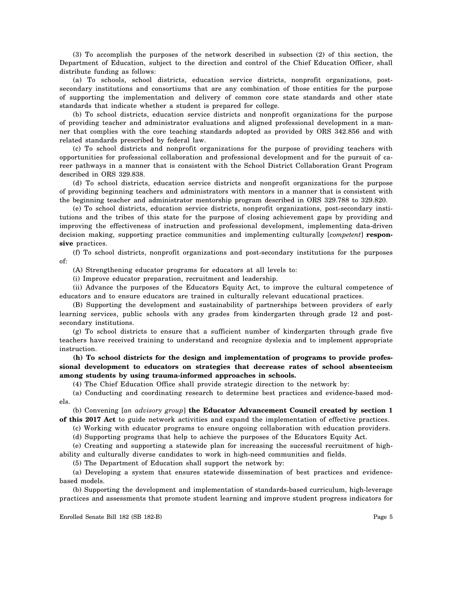(3) To accomplish the purposes of the network described in subsection (2) of this section, the Department of Education, subject to the direction and control of the Chief Education Officer, shall distribute funding as follows:

(a) To schools, school districts, education service districts, nonprofit organizations, postsecondary institutions and consortiums that are any combination of those entities for the purpose of supporting the implementation and delivery of common core state standards and other state standards that indicate whether a student is prepared for college.

(b) To school districts, education service districts and nonprofit organizations for the purpose of providing teacher and administrator evaluations and aligned professional development in a manner that complies with the core teaching standards adopted as provided by ORS 342.856 and with related standards prescribed by federal law.

(c) To school districts and nonprofit organizations for the purpose of providing teachers with opportunities for professional collaboration and professional development and for the pursuit of career pathways in a manner that is consistent with the School District Collaboration Grant Program described in ORS 329.838.

(d) To school districts, education service districts and nonprofit organizations for the purpose of providing beginning teachers and administrators with mentors in a manner that is consistent with the beginning teacher and administrator mentorship program described in ORS 329.788 to 329.820.

(e) To school districts, education service districts, nonprofit organizations, post-secondary institutions and the tribes of this state for the purpose of closing achievement gaps by providing and improving the effectiveness of instruction and professional development, implementing data-driven decision making, supporting practice communities and implementing culturally [*competent*] **responsive** practices.

(f) To school districts, nonprofit organizations and post-secondary institutions for the purposes of:

(A) Strengthening educator programs for educators at all levels to:

(i) Improve educator preparation, recruitment and leadership.

(ii) Advance the purposes of the Educators Equity Act, to improve the cultural competence of educators and to ensure educators are trained in culturally relevant educational practices.

(B) Supporting the development and sustainability of partnerships between providers of early learning services, public schools with any grades from kindergarten through grade 12 and postsecondary institutions.

(g) To school districts to ensure that a sufficient number of kindergarten through grade five teachers have received training to understand and recognize dyslexia and to implement appropriate instruction.

**(h) To school districts for the design and implementation of programs to provide professional development to educators on strategies that decrease rates of school absenteeism among students by using trauma-informed approaches in schools.**

(4) The Chief Education Office shall provide strategic direction to the network by:

(a) Conducting and coordinating research to determine best practices and evidence-based models.

(b) Convening [*an advisory group*] **the Educator Advancement Council created by section 1 of this 2017 Act** to guide network activities and expand the implementation of effective practices.

(c) Working with educator programs to ensure ongoing collaboration with education providers.

(d) Supporting programs that help to achieve the purposes of the Educators Equity Act.

(e) Creating and supporting a statewide plan for increasing the successful recruitment of highability and culturally diverse candidates to work in high-need communities and fields.

(5) The Department of Education shall support the network by:

(a) Developing a system that ensures statewide dissemination of best practices and evidencebased models.

(b) Supporting the development and implementation of standards-based curriculum, high-leverage practices and assessments that promote student learning and improve student progress indicators for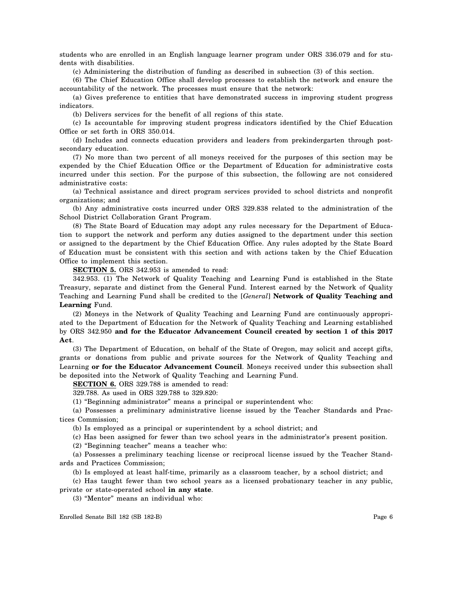students who are enrolled in an English language learner program under ORS 336.079 and for students with disabilities.

(c) Administering the distribution of funding as described in subsection (3) of this section.

(6) The Chief Education Office shall develop processes to establish the network and ensure the accountability of the network. The processes must ensure that the network:

(a) Gives preference to entities that have demonstrated success in improving student progress indicators.

(b) Delivers services for the benefit of all regions of this state.

(c) Is accountable for improving student progress indicators identified by the Chief Education Office or set forth in ORS 350.014.

(d) Includes and connects education providers and leaders from prekindergarten through postsecondary education.

(7) No more than two percent of all moneys received for the purposes of this section may be expended by the Chief Education Office or the Department of Education for administrative costs incurred under this section. For the purpose of this subsection, the following are not considered administrative costs:

(a) Technical assistance and direct program services provided to school districts and nonprofit organizations; and

(b) Any administrative costs incurred under ORS 329.838 related to the administration of the School District Collaboration Grant Program.

(8) The State Board of Education may adopt any rules necessary for the Department of Education to support the network and perform any duties assigned to the department under this section or assigned to the department by the Chief Education Office. Any rules adopted by the State Board of Education must be consistent with this section and with actions taken by the Chief Education Office to implement this section.

**SECTION 5.** ORS 342.953 is amended to read:

342.953. (1) The Network of Quality Teaching and Learning Fund is established in the State Treasury, separate and distinct from the General Fund. Interest earned by the Network of Quality Teaching and Learning Fund shall be credited to the [*General*] **Network of Quality Teaching and Learning** Fund.

(2) Moneys in the Network of Quality Teaching and Learning Fund are continuously appropriated to the Department of Education for the Network of Quality Teaching and Learning established by ORS 342.950 **and for the Educator Advancement Council created by section 1 of this 2017 Act**.

(3) The Department of Education, on behalf of the State of Oregon, may solicit and accept gifts, grants or donations from public and private sources for the Network of Quality Teaching and Learning **or for the Educator Advancement Council**. Moneys received under this subsection shall be deposited into the Network of Quality Teaching and Learning Fund.

**SECTION 6.** ORS 329.788 is amended to read:

329.788. As used in ORS 329.788 to 329.820:

(1) "Beginning administrator" means a principal or superintendent who:

(a) Possesses a preliminary administrative license issued by the Teacher Standards and Practices Commission;

(b) Is employed as a principal or superintendent by a school district; and

(c) Has been assigned for fewer than two school years in the administrator's present position.

(2) "Beginning teacher" means a teacher who:

(a) Possesses a preliminary teaching license or reciprocal license issued by the Teacher Standards and Practices Commission;

(b) Is employed at least half-time, primarily as a classroom teacher, by a school district; and

(c) Has taught fewer than two school years as a licensed probationary teacher in any public, private or state-operated school **in any state**.

(3) "Mentor" means an individual who: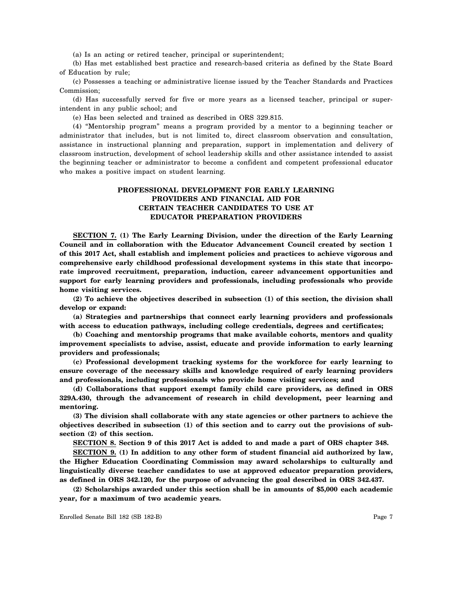(a) Is an acting or retired teacher, principal or superintendent;

(b) Has met established best practice and research-based criteria as defined by the State Board of Education by rule;

(c) Possesses a teaching or administrative license issued by the Teacher Standards and Practices Commission;

(d) Has successfully served for five or more years as a licensed teacher, principal or superintendent in any public school; and

(e) Has been selected and trained as described in ORS 329.815.

(4) "Mentorship program" means a program provided by a mentor to a beginning teacher or administrator that includes, but is not limited to, direct classroom observation and consultation, assistance in instructional planning and preparation, support in implementation and delivery of classroom instruction, development of school leadership skills and other assistance intended to assist the beginning teacher or administrator to become a confident and competent professional educator who makes a positive impact on student learning.

## **PROFESSIONAL DEVELOPMENT FOR EARLY LEARNING PROVIDERS AND FINANCIAL AID FOR CERTAIN TEACHER CANDIDATES TO USE AT EDUCATOR PREPARATION PROVIDERS**

**SECTION 7. (1) The Early Learning Division, under the direction of the Early Learning Council and in collaboration with the Educator Advancement Council created by section 1 of this 2017 Act, shall establish and implement policies and practices to achieve vigorous and comprehensive early childhood professional development systems in this state that incorporate improved recruitment, preparation, induction, career advancement opportunities and support for early learning providers and professionals, including professionals who provide home visiting services.**

**(2) To achieve the objectives described in subsection (1) of this section, the division shall develop or expand:**

**(a) Strategies and partnerships that connect early learning providers and professionals with access to education pathways, including college credentials, degrees and certificates;**

**(b) Coaching and mentorship programs that make available cohorts, mentors and quality improvement specialists to advise, assist, educate and provide information to early learning providers and professionals;**

**(c) Professional development tracking systems for the workforce for early learning to ensure coverage of the necessary skills and knowledge required of early learning providers and professionals, including professionals who provide home visiting services; and**

**(d) Collaborations that support exempt family child care providers, as defined in ORS 329A.430, through the advancement of research in child development, peer learning and mentoring.**

**(3) The division shall collaborate with any state agencies or other partners to achieve the objectives described in subsection (1) of this section and to carry out the provisions of subsection (2) of this section.**

**SECTION 8. Section 9 of this 2017 Act is added to and made a part of ORS chapter 348.**

**SECTION 9. (1) In addition to any other form of student financial aid authorized by law, the Higher Education Coordinating Commission may award scholarships to culturally and linguistically diverse teacher candidates to use at approved educator preparation providers, as defined in ORS 342.120, for the purpose of advancing the goal described in ORS 342.437.**

**(2) Scholarships awarded under this section shall be in amounts of \$5,000 each academic year, for a maximum of two academic years.**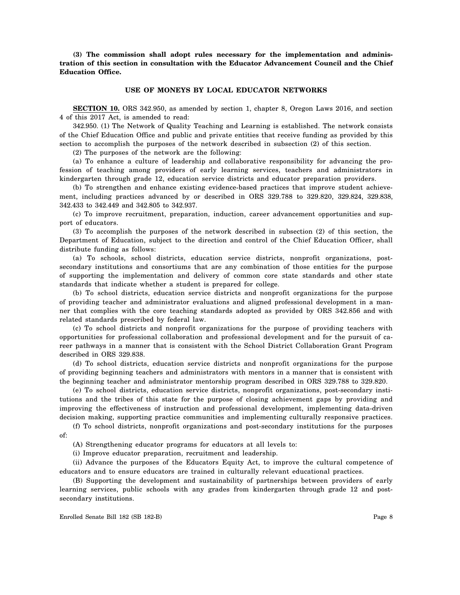**(3) The commission shall adopt rules necessary for the implementation and administration of this section in consultation with the Educator Advancement Council and the Chief Education Office.**

#### **USE OF MONEYS BY LOCAL EDUCATOR NETWORKS**

**SECTION 10.** ORS 342.950, as amended by section 1, chapter 8, Oregon Laws 2016, and section 4 of this 2017 Act, is amended to read:

342.950. (1) The Network of Quality Teaching and Learning is established. The network consists of the Chief Education Office and public and private entities that receive funding as provided by this section to accomplish the purposes of the network described in subsection (2) of this section.

(2) The purposes of the network are the following:

(a) To enhance a culture of leadership and collaborative responsibility for advancing the profession of teaching among providers of early learning services, teachers and administrators in kindergarten through grade 12, education service districts and educator preparation providers.

(b) To strengthen and enhance existing evidence-based practices that improve student achievement, including practices advanced by or described in ORS 329.788 to 329.820, 329.824, 329.838, 342.433 to 342.449 and 342.805 to 342.937.

(c) To improve recruitment, preparation, induction, career advancement opportunities and support of educators.

(3) To accomplish the purposes of the network described in subsection (2) of this section, the Department of Education, subject to the direction and control of the Chief Education Officer, shall distribute funding as follows:

(a) To schools, school districts, education service districts, nonprofit organizations, postsecondary institutions and consortiums that are any combination of those entities for the purpose of supporting the implementation and delivery of common core state standards and other state standards that indicate whether a student is prepared for college.

(b) To school districts, education service districts and nonprofit organizations for the purpose of providing teacher and administrator evaluations and aligned professional development in a manner that complies with the core teaching standards adopted as provided by ORS 342.856 and with related standards prescribed by federal law.

(c) To school districts and nonprofit organizations for the purpose of providing teachers with opportunities for professional collaboration and professional development and for the pursuit of career pathways in a manner that is consistent with the School District Collaboration Grant Program described in ORS 329.838.

(d) To school districts, education service districts and nonprofit organizations for the purpose of providing beginning teachers and administrators with mentors in a manner that is consistent with the beginning teacher and administrator mentorship program described in ORS 329.788 to 329.820.

(e) To school districts, education service districts, nonprofit organizations, post-secondary institutions and the tribes of this state for the purpose of closing achievement gaps by providing and improving the effectiveness of instruction and professional development, implementing data-driven decision making, supporting practice communities and implementing culturally responsive practices.

(f) To school districts, nonprofit organizations and post-secondary institutions for the purposes of:

(A) Strengthening educator programs for educators at all levels to:

(i) Improve educator preparation, recruitment and leadership.

(ii) Advance the purposes of the Educators Equity Act, to improve the cultural competence of educators and to ensure educators are trained in culturally relevant educational practices.

(B) Supporting the development and sustainability of partnerships between providers of early learning services, public schools with any grades from kindergarten through grade 12 and postsecondary institutions.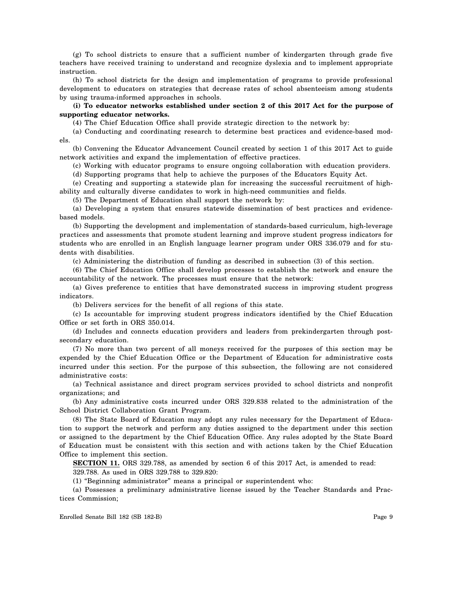(g) To school districts to ensure that a sufficient number of kindergarten through grade five teachers have received training to understand and recognize dyslexia and to implement appropriate instruction.

(h) To school districts for the design and implementation of programs to provide professional development to educators on strategies that decrease rates of school absenteeism among students by using trauma-informed approaches in schools.

**(i) To educator networks established under section 2 of this 2017 Act for the purpose of supporting educator networks.**

(4) The Chief Education Office shall provide strategic direction to the network by:

(a) Conducting and coordinating research to determine best practices and evidence-based models.

(b) Convening the Educator Advancement Council created by section 1 of this 2017 Act to guide network activities and expand the implementation of effective practices.

(c) Working with educator programs to ensure ongoing collaboration with education providers.

(d) Supporting programs that help to achieve the purposes of the Educators Equity Act.

(e) Creating and supporting a statewide plan for increasing the successful recruitment of highability and culturally diverse candidates to work in high-need communities and fields.

(5) The Department of Education shall support the network by:

(a) Developing a system that ensures statewide dissemination of best practices and evidencebased models.

(b) Supporting the development and implementation of standards-based curriculum, high-leverage practices and assessments that promote student learning and improve student progress indicators for students who are enrolled in an English language learner program under ORS 336.079 and for students with disabilities.

(c) Administering the distribution of funding as described in subsection (3) of this section.

(6) The Chief Education Office shall develop processes to establish the network and ensure the accountability of the network. The processes must ensure that the network:

(a) Gives preference to entities that have demonstrated success in improving student progress indicators.

(b) Delivers services for the benefit of all regions of this state.

(c) Is accountable for improving student progress indicators identified by the Chief Education Office or set forth in ORS 350.014.

(d) Includes and connects education providers and leaders from prekindergarten through postsecondary education.

(7) No more than two percent of all moneys received for the purposes of this section may be expended by the Chief Education Office or the Department of Education for administrative costs incurred under this section. For the purpose of this subsection, the following are not considered administrative costs:

(a) Technical assistance and direct program services provided to school districts and nonprofit organizations; and

(b) Any administrative costs incurred under ORS 329.838 related to the administration of the School District Collaboration Grant Program.

(8) The State Board of Education may adopt any rules necessary for the Department of Education to support the network and perform any duties assigned to the department under this section or assigned to the department by the Chief Education Office. Any rules adopted by the State Board of Education must be consistent with this section and with actions taken by the Chief Education Office to implement this section.

**SECTION 11.** ORS 329.788, as amended by section 6 of this 2017 Act, is amended to read:

329.788. As used in ORS 329.788 to 329.820:

(1) "Beginning administrator" means a principal or superintendent who:

(a) Possesses a preliminary administrative license issued by the Teacher Standards and Practices Commission;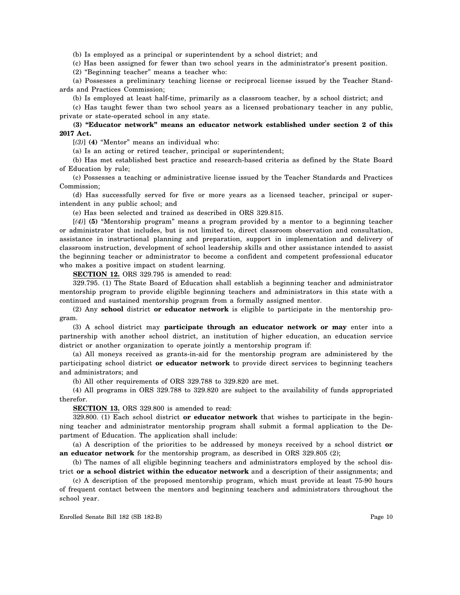(b) Is employed as a principal or superintendent by a school district; and

(c) Has been assigned for fewer than two school years in the administrator's present position.

(2) "Beginning teacher" means a teacher who:

(a) Possesses a preliminary teaching license or reciprocal license issued by the Teacher Standards and Practices Commission;

(b) Is employed at least half-time, primarily as a classroom teacher, by a school district; and

(c) Has taught fewer than two school years as a licensed probationary teacher in any public, private or state-operated school in any state.

## **(3) "Educator network" means an educator network established under section 2 of this 2017 Act.**

[*(3)*] **(4)** "Mentor" means an individual who:

(a) Is an acting or retired teacher, principal or superintendent;

(b) Has met established best practice and research-based criteria as defined by the State Board of Education by rule;

(c) Possesses a teaching or administrative license issued by the Teacher Standards and Practices Commission;

(d) Has successfully served for five or more years as a licensed teacher, principal or superintendent in any public school; and

(e) Has been selected and trained as described in ORS 329.815.

[*(4)*] **(5)** "Mentorship program" means a program provided by a mentor to a beginning teacher or administrator that includes, but is not limited to, direct classroom observation and consultation, assistance in instructional planning and preparation, support in implementation and delivery of classroom instruction, development of school leadership skills and other assistance intended to assist the beginning teacher or administrator to become a confident and competent professional educator who makes a positive impact on student learning.

**SECTION 12.** ORS 329.795 is amended to read:

329.795. (1) The State Board of Education shall establish a beginning teacher and administrator mentorship program to provide eligible beginning teachers and administrators in this state with a continued and sustained mentorship program from a formally assigned mentor.

(2) Any **school** district **or educator network** is eligible to participate in the mentorship program.

(3) A school district may **participate through an educator network or may** enter into a partnership with another school district, an institution of higher education, an education service district or another organization to operate jointly a mentorship program if:

(a) All moneys received as grants-in-aid for the mentorship program are administered by the participating school district **or educator network** to provide direct services to beginning teachers and administrators; and

(b) All other requirements of ORS 329.788 to 329.820 are met.

(4) All programs in ORS 329.788 to 329.820 are subject to the availability of funds appropriated therefor.

**SECTION 13.** ORS 329.800 is amended to read:

329.800. (1) Each school district **or educator network** that wishes to participate in the beginning teacher and administrator mentorship program shall submit a formal application to the Department of Education. The application shall include:

(a) A description of the priorities to be addressed by moneys received by a school district **or an educator network** for the mentorship program, as described in ORS 329.805 (2);

(b) The names of all eligible beginning teachers and administrators employed by the school district **or a school district within the educator network** and a description of their assignments; and

(c) A description of the proposed mentorship program, which must provide at least 75-90 hours of frequent contact between the mentors and beginning teachers and administrators throughout the school year.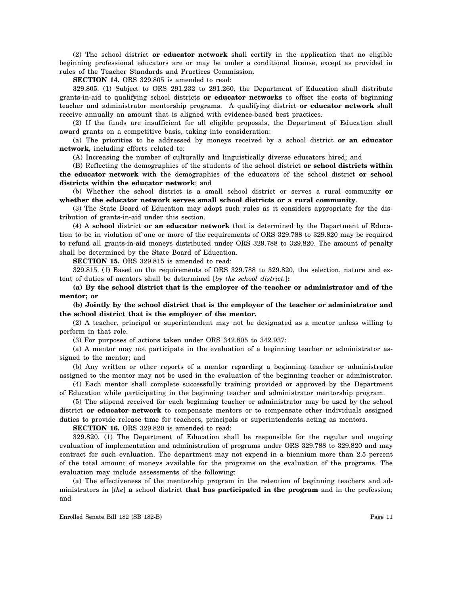(2) The school district **or educator network** shall certify in the application that no eligible beginning professional educators are or may be under a conditional license, except as provided in rules of the Teacher Standards and Practices Commission.

**SECTION 14.** ORS 329.805 is amended to read:

329.805. (1) Subject to ORS 291.232 to 291.260, the Department of Education shall distribute grants-in-aid to qualifying school districts **or educator networks** to offset the costs of beginning teacher and administrator mentorship programs. A qualifying district **or educator network** shall receive annually an amount that is aligned with evidence-based best practices.

(2) If the funds are insufficient for all eligible proposals, the Department of Education shall award grants on a competitive basis, taking into consideration:

(a) The priorities to be addressed by moneys received by a school district **or an educator network**, including efforts related to:

(A) Increasing the number of culturally and linguistically diverse educators hired; and

(B) Reflecting the demographics of the students of the school district **or school districts within the educator network** with the demographics of the educators of the school district **or school districts within the educator network**; and

(b) Whether the school district is a small school district or serves a rural community **or whether the educator network serves small school districts or a rural community**.

(3) The State Board of Education may adopt such rules as it considers appropriate for the distribution of grants-in-aid under this section.

(4) A **school** district **or an educator network** that is determined by the Department of Education to be in violation of one or more of the requirements of ORS 329.788 to 329.820 may be required to refund all grants-in-aid moneys distributed under ORS 329.788 to 329.820. The amount of penalty shall be determined by the State Board of Education.

**SECTION 15.** ORS 329.815 is amended to read:

329.815. (1) Based on the requirements of ORS 329.788 to 329.820, the selection, nature and extent of duties of mentors shall be determined [*by the school district.*]**:**

**(a) By the school district that is the employer of the teacher or administrator and of the mentor; or**

**(b) Jointly by the school district that is the employer of the teacher or administrator and the school district that is the employer of the mentor.**

(2) A teacher, principal or superintendent may not be designated as a mentor unless willing to perform in that role.

(3) For purposes of actions taken under ORS 342.805 to 342.937:

(a) A mentor may not participate in the evaluation of a beginning teacher or administrator assigned to the mentor; and

(b) Any written or other reports of a mentor regarding a beginning teacher or administrator assigned to the mentor may not be used in the evaluation of the beginning teacher or administrator.

(4) Each mentor shall complete successfully training provided or approved by the Department of Education while participating in the beginning teacher and administrator mentorship program.

(5) The stipend received for each beginning teacher or administrator may be used by the school district **or educator network** to compensate mentors or to compensate other individuals assigned duties to provide release time for teachers, principals or superintendents acting as mentors.

**SECTION 16.** ORS 329.820 is amended to read:

329.820. (1) The Department of Education shall be responsible for the regular and ongoing evaluation of implementation and administration of programs under ORS 329.788 to 329.820 and may contract for such evaluation. The department may not expend in a biennium more than 2.5 percent of the total amount of moneys available for the programs on the evaluation of the programs. The evaluation may include assessments of the following:

(a) The effectiveness of the mentorship program in the retention of beginning teachers and administrators in [*the*] **a** school district **that has participated in the program** and in the profession; and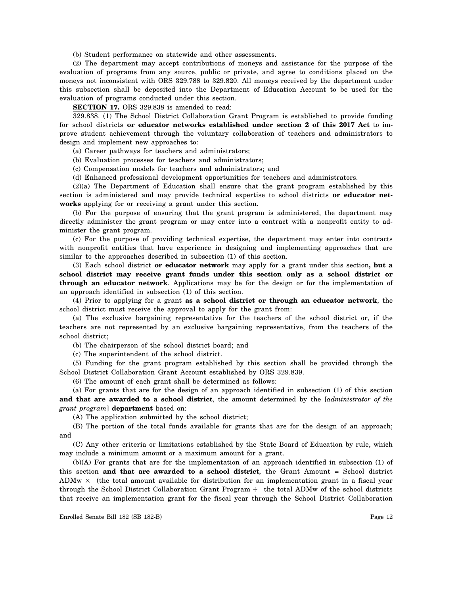(b) Student performance on statewide and other assessments.

(2) The department may accept contributions of moneys and assistance for the purpose of the evaluation of programs from any source, public or private, and agree to conditions placed on the moneys not inconsistent with ORS 329.788 to 329.820. All moneys received by the department under this subsection shall be deposited into the Department of Education Account to be used for the evaluation of programs conducted under this section.

**SECTION 17.** ORS 329.838 is amended to read:

329.838. (1) The School District Collaboration Grant Program is established to provide funding for school districts **or educator networks established under section 2 of this 2017 Act** to improve student achievement through the voluntary collaboration of teachers and administrators to design and implement new approaches to:

(a) Career pathways for teachers and administrators;

(b) Evaluation processes for teachers and administrators;

(c) Compensation models for teachers and administrators; and

(d) Enhanced professional development opportunities for teachers and administrators.

(2)(a) The Department of Education shall ensure that the grant program established by this section is administered and may provide technical expertise to school districts **or educator networks** applying for or receiving a grant under this section.

(b) For the purpose of ensuring that the grant program is administered, the department may directly administer the grant program or may enter into a contract with a nonprofit entity to administer the grant program.

(c) For the purpose of providing technical expertise, the department may enter into contracts with nonprofit entities that have experience in designing and implementing approaches that are similar to the approaches described in subsection (1) of this section.

(3) Each school district **or educator network** may apply for a grant under this section**, but a school district may receive grant funds under this section only as a school district or through an educator network**. Applications may be for the design or for the implementation of an approach identified in subsection (1) of this section.

(4) Prior to applying for a grant **as a school district or through an educator network**, the school district must receive the approval to apply for the grant from:

(a) The exclusive bargaining representative for the teachers of the school district or, if the teachers are not represented by an exclusive bargaining representative, from the teachers of the school district;

(b) The chairperson of the school district board; and

(c) The superintendent of the school district.

(5) Funding for the grant program established by this section shall be provided through the School District Collaboration Grant Account established by ORS 329.839.

(6) The amount of each grant shall be determined as follows:

(a) For grants that are for the design of an approach identified in subsection (1) of this section **and that are awarded to a school district**, the amount determined by the [*administrator of the grant program*] **department** based on:

(A) The application submitted by the school district;

(B) The portion of the total funds available for grants that are for the design of an approach; and

(C) Any other criteria or limitations established by the State Board of Education by rule, which may include a minimum amount or a maximum amount for a grant.

(b)(A) For grants that are for the implementation of an approach identified in subsection (1) of this section **and that are awarded to a school district**, the Grant Amount = School district  $ADMw \times$  (the total amount available for distribution for an implementation grant in a fiscal year through the School District Collaboration Grant Program  $\div$  the total ADMw of the school districts that receive an implementation grant for the fiscal year through the School District Collaboration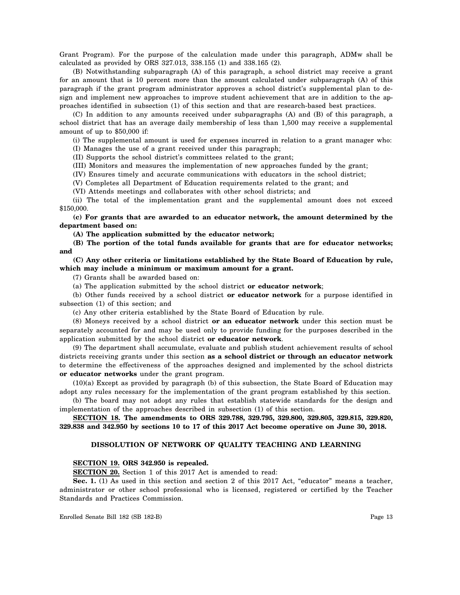Grant Program). For the purpose of the calculation made under this paragraph, ADMw shall be calculated as provided by ORS 327.013, 338.155 (1) and 338.165 (2).

(B) Notwithstanding subparagraph (A) of this paragraph, a school district may receive a grant for an amount that is 10 percent more than the amount calculated under subparagraph (A) of this paragraph if the grant program administrator approves a school district's supplemental plan to design and implement new approaches to improve student achievement that are in addition to the approaches identified in subsection (1) of this section and that are research-based best practices.

(C) In addition to any amounts received under subparagraphs (A) and (B) of this paragraph, a school district that has an average daily membership of less than 1,500 may receive a supplemental amount of up to \$50,000 if:

(i) The supplemental amount is used for expenses incurred in relation to a grant manager who: (I) Manages the use of a grant received under this paragraph;

(II) Supports the school district's committees related to the grant;

(III) Monitors and measures the implementation of new approaches funded by the grant;

(IV) Ensures timely and accurate communications with educators in the school district;

(V) Completes all Department of Education requirements related to the grant; and

(VI) Attends meetings and collaborates with other school districts; and

(ii) The total of the implementation grant and the supplemental amount does not exceed \$150,000.

**(c) For grants that are awarded to an educator network, the amount determined by the department based on:**

**(A) The application submitted by the educator network;**

**(B) The portion of the total funds available for grants that are for educator networks; and**

**(C) Any other criteria or limitations established by the State Board of Education by rule, which may include a minimum or maximum amount for a grant.**

(7) Grants shall be awarded based on:

(a) The application submitted by the school district **or educator network**;

(b) Other funds received by a school district **or educator network** for a purpose identified in subsection (1) of this section; and

(c) Any other criteria established by the State Board of Education by rule.

(8) Moneys received by a school district **or an educator network** under this section must be separately accounted for and may be used only to provide funding for the purposes described in the application submitted by the school district **or educator network**.

(9) The department shall accumulate, evaluate and publish student achievement results of school districts receiving grants under this section **as a school district or through an educator network** to determine the effectiveness of the approaches designed and implemented by the school districts **or educator networks** under the grant program.

(10)(a) Except as provided by paragraph (b) of this subsection, the State Board of Education may adopt any rules necessary for the implementation of the grant program established by this section.

(b) The board may not adopt any rules that establish statewide standards for the design and implementation of the approaches described in subsection (1) of this section.

**SECTION 18. The amendments to ORS 329.788, 329.795, 329.800, 329.805, 329.815, 329.820, 329.838 and 342.950 by sections 10 to 17 of this 2017 Act become operative on June 30, 2018.**

#### **DISSOLUTION OF NETWORK OF QUALITY TEACHING AND LEARNING**

#### **SECTION 19. ORS 342.950 is repealed.**

**SECTION 20.** Section 1 of this 2017 Act is amended to read:

**Sec. 1.** (1) As used in this section and section 2 of this 2017 Act, "educator" means a teacher, administrator or other school professional who is licensed, registered or certified by the Teacher Standards and Practices Commission.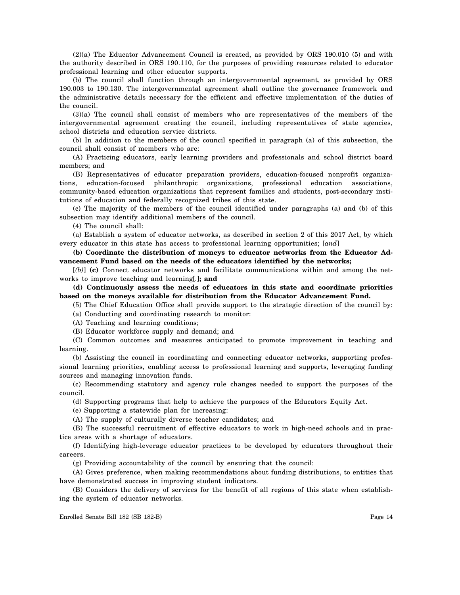(2)(a) The Educator Advancement Council is created, as provided by ORS 190.010 (5) and with the authority described in ORS 190.110, for the purposes of providing resources related to educator professional learning and other educator supports.

(b) The council shall function through an intergovernmental agreement, as provided by ORS 190.003 to 190.130. The intergovernmental agreement shall outline the governance framework and the administrative details necessary for the efficient and effective implementation of the duties of the council.

(3)(a) The council shall consist of members who are representatives of the members of the intergovernmental agreement creating the council, including representatives of state agencies, school districts and education service districts.

(b) In addition to the members of the council specified in paragraph (a) of this subsection, the council shall consist of members who are:

(A) Practicing educators, early learning providers and professionals and school district board members; and

(B) Representatives of educator preparation providers, education-focused nonprofit organizations, education-focused philanthropic organizations, professional education associations, community-based education organizations that represent families and students, post-secondary institutions of education and federally recognized tribes of this state.

(c) The majority of the members of the council identified under paragraphs (a) and (b) of this subsection may identify additional members of the council.

(4) The council shall:

(a) Establish a system of educator networks, as described in section 2 of this 2017 Act, by which every educator in this state has access to professional learning opportunities; [*and*]

**(b) Coordinate the distribution of moneys to educator networks from the Educator Advancement Fund based on the needs of the educators identified by the networks;**

[*(b)*] **(c)** Connect educator networks and facilitate communications within and among the networks to improve teaching and learning[*.*]**; and**

**(d) Continuously assess the needs of educators in this state and coordinate priorities based on the moneys available for distribution from the Educator Advancement Fund.**

(5) The Chief Education Office shall provide support to the strategic direction of the council by:

(a) Conducting and coordinating research to monitor:

(A) Teaching and learning conditions;

(B) Educator workforce supply and demand; and

(C) Common outcomes and measures anticipated to promote improvement in teaching and learning.

(b) Assisting the council in coordinating and connecting educator networks, supporting professional learning priorities, enabling access to professional learning and supports, leveraging funding sources and managing innovation funds.

(c) Recommending statutory and agency rule changes needed to support the purposes of the council.

(d) Supporting programs that help to achieve the purposes of the Educators Equity Act.

(e) Supporting a statewide plan for increasing:

(A) The supply of culturally diverse teacher candidates; and

(B) The successful recruitment of effective educators to work in high-need schools and in practice areas with a shortage of educators.

(f) Identifying high-leverage educator practices to be developed by educators throughout their careers.

(g) Providing accountability of the council by ensuring that the council:

(A) Gives preference, when making recommendations about funding distributions, to entities that have demonstrated success in improving student indicators.

(B) Considers the delivery of services for the benefit of all regions of this state when establishing the system of educator networks.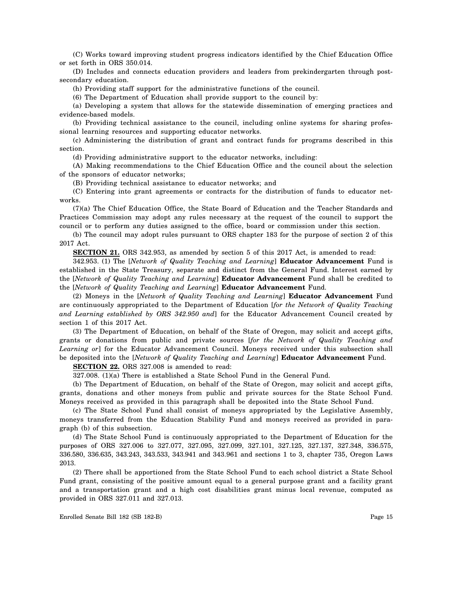(C) Works toward improving student progress indicators identified by the Chief Education Office or set forth in ORS 350.014.

(D) Includes and connects education providers and leaders from prekindergarten through postsecondary education.

(h) Providing staff support for the administrative functions of the council.

(6) The Department of Education shall provide support to the council by:

(a) Developing a system that allows for the statewide dissemination of emerging practices and evidence-based models.

(b) Providing technical assistance to the council, including online systems for sharing professional learning resources and supporting educator networks.

(c) Administering the distribution of grant and contract funds for programs described in this section.

(d) Providing administrative support to the educator networks, including:

(A) Making recommendations to the Chief Education Office and the council about the selection of the sponsors of educator networks;

(B) Providing technical assistance to educator networks; and

(C) Entering into grant agreements or contracts for the distribution of funds to educator networks.

(7)(a) The Chief Education Office, the State Board of Education and the Teacher Standards and Practices Commission may adopt any rules necessary at the request of the council to support the council or to perform any duties assigned to the office, board or commission under this section.

(b) The council may adopt rules pursuant to ORS chapter 183 for the purpose of section 2 of this 2017 Act.

**SECTION 21.** ORS 342.953, as amended by section 5 of this 2017 Act, is amended to read:

342.953. (1) The [*Network of Quality Teaching and Learning*] **Educator Advancement** Fund is established in the State Treasury, separate and distinct from the General Fund. Interest earned by the [*Network of Quality Teaching and Learning*] **Educator Advancement** Fund shall be credited to the [*Network of Quality Teaching and Learning*] **Educator Advancement** Fund.

(2) Moneys in the [*Network of Quality Teaching and Learning*] **Educator Advancement** Fund are continuously appropriated to the Department of Education [*for the Network of Quality Teaching and Learning established by ORS 342.950 and*] for the Educator Advancement Council created by section 1 of this 2017 Act.

(3) The Department of Education, on behalf of the State of Oregon, may solicit and accept gifts, grants or donations from public and private sources [*for the Network of Quality Teaching and Learning or*] for the Educator Advancement Council. Moneys received under this subsection shall be deposited into the [*Network of Quality Teaching and Learning*] **Educator Advancement** Fund.

**SECTION 22.** ORS 327.008 is amended to read:

327.008. (1)(a) There is established a State School Fund in the General Fund.

(b) The Department of Education, on behalf of the State of Oregon, may solicit and accept gifts, grants, donations and other moneys from public and private sources for the State School Fund. Moneys received as provided in this paragraph shall be deposited into the State School Fund.

(c) The State School Fund shall consist of moneys appropriated by the Legislative Assembly, moneys transferred from the Education Stability Fund and moneys received as provided in paragraph (b) of this subsection.

(d) The State School Fund is continuously appropriated to the Department of Education for the purposes of ORS 327.006 to 327.077, 327.095, 327.099, 327.101, 327.125, 327.137, 327.348, 336.575, 336.580, 336.635, 343.243, 343.533, 343.941 and 343.961 and sections 1 to 3, chapter 735, Oregon Laws 2013.

(2) There shall be apportioned from the State School Fund to each school district a State School Fund grant, consisting of the positive amount equal to a general purpose grant and a facility grant and a transportation grant and a high cost disabilities grant minus local revenue, computed as provided in ORS 327.011 and 327.013.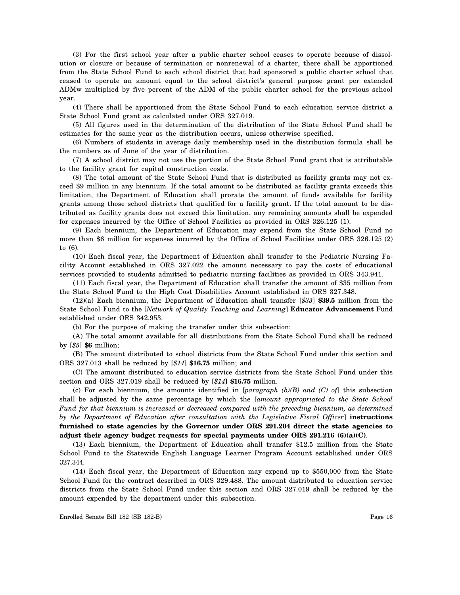(3) For the first school year after a public charter school ceases to operate because of dissolution or closure or because of termination or nonrenewal of a charter, there shall be apportioned from the State School Fund to each school district that had sponsored a public charter school that ceased to operate an amount equal to the school district's general purpose grant per extended ADMw multiplied by five percent of the ADM of the public charter school for the previous school year.

(4) There shall be apportioned from the State School Fund to each education service district a State School Fund grant as calculated under ORS 327.019.

(5) All figures used in the determination of the distribution of the State School Fund shall be estimates for the same year as the distribution occurs, unless otherwise specified.

(6) Numbers of students in average daily membership used in the distribution formula shall be the numbers as of June of the year of distribution.

(7) A school district may not use the portion of the State School Fund grant that is attributable to the facility grant for capital construction costs.

(8) The total amount of the State School Fund that is distributed as facility grants may not exceed \$9 million in any biennium. If the total amount to be distributed as facility grants exceeds this limitation, the Department of Education shall prorate the amount of funds available for facility grants among those school districts that qualified for a facility grant. If the total amount to be distributed as facility grants does not exceed this limitation, any remaining amounts shall be expended for expenses incurred by the Office of School Facilities as provided in ORS 326.125 (1).

(9) Each biennium, the Department of Education may expend from the State School Fund no more than \$6 million for expenses incurred by the Office of School Facilities under ORS 326.125 (2) to (6).

(10) Each fiscal year, the Department of Education shall transfer to the Pediatric Nursing Facility Account established in ORS 327.022 the amount necessary to pay the costs of educational services provided to students admitted to pediatric nursing facilities as provided in ORS 343.941.

(11) Each fiscal year, the Department of Education shall transfer the amount of \$35 million from the State School Fund to the High Cost Disabilities Account established in ORS 327.348.

(12)(a) Each biennium, the Department of Education shall transfer [*\$33*] **\$39.5** million from the State School Fund to the [*Network of Quality Teaching and Learning*] **Educator Advancement** Fund established under ORS 342.953.

(b) For the purpose of making the transfer under this subsection:

(A) The total amount available for all distributions from the State School Fund shall be reduced by [*\$5*] **\$6** million;

(B) The amount distributed to school districts from the State School Fund under this section and ORS 327.013 shall be reduced by [*\$14*] **\$16.75** million; and

(C) The amount distributed to education service districts from the State School Fund under this section and ORS 327.019 shall be reduced by [*\$14*] **\$16.75** million.

(c) For each biennium, the amounts identified in [*paragraph (b)(B) and (C) of*] this subsection shall be adjusted by the same percentage by which the [*amount appropriated to the State School Fund for that biennium is increased or decreased compared with the preceding biennium, as determined by the Department of Education after consultation with the Legislative Fiscal Officer*] **instructions furnished to state agencies by the Governor under ORS 291.204 direct the state agencies to adjust their agency budget requests for special payments under ORS 291.216 (6)(a)(C)**.

(13) Each biennium, the Department of Education shall transfer \$12.5 million from the State School Fund to the Statewide English Language Learner Program Account established under ORS 327.344.

(14) Each fiscal year, the Department of Education may expend up to \$550,000 from the State School Fund for the contract described in ORS 329.488. The amount distributed to education service districts from the State School Fund under this section and ORS 327.019 shall be reduced by the amount expended by the department under this subsection.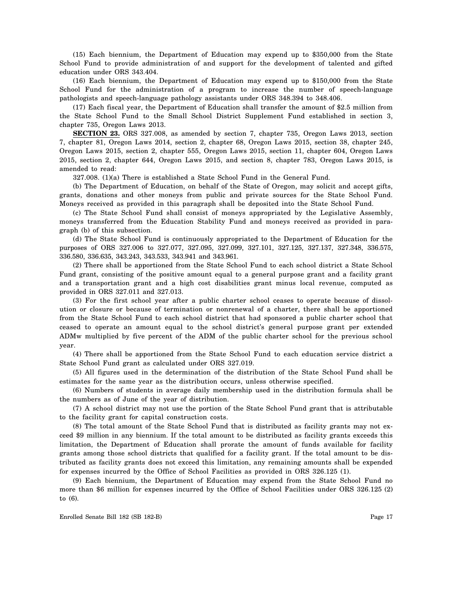(15) Each biennium, the Department of Education may expend up to \$350,000 from the State School Fund to provide administration of and support for the development of talented and gifted education under ORS 343.404.

(16) Each biennium, the Department of Education may expend up to \$150,000 from the State School Fund for the administration of a program to increase the number of speech-language pathologists and speech-language pathology assistants under ORS 348.394 to 348.406.

(17) Each fiscal year, the Department of Education shall transfer the amount of \$2.5 million from the State School Fund to the Small School District Supplement Fund established in section 3, chapter 735, Oregon Laws 2013.

**SECTION 23.** ORS 327.008, as amended by section 7, chapter 735, Oregon Laws 2013, section 7, chapter 81, Oregon Laws 2014, section 2, chapter 68, Oregon Laws 2015, section 38, chapter 245, Oregon Laws 2015, section 2, chapter 555, Oregon Laws 2015, section 11, chapter 604, Oregon Laws 2015, section 2, chapter 644, Oregon Laws 2015, and section 8, chapter 783, Oregon Laws 2015, is amended to read:

327.008. (1)(a) There is established a State School Fund in the General Fund.

(b) The Department of Education, on behalf of the State of Oregon, may solicit and accept gifts, grants, donations and other moneys from public and private sources for the State School Fund. Moneys received as provided in this paragraph shall be deposited into the State School Fund.

(c) The State School Fund shall consist of moneys appropriated by the Legislative Assembly, moneys transferred from the Education Stability Fund and moneys received as provided in paragraph (b) of this subsection.

(d) The State School Fund is continuously appropriated to the Department of Education for the purposes of ORS 327.006 to 327.077, 327.095, 327.099, 327.101, 327.125, 327.137, 327.348, 336.575, 336.580, 336.635, 343.243, 343.533, 343.941 and 343.961.

(2) There shall be apportioned from the State School Fund to each school district a State School Fund grant, consisting of the positive amount equal to a general purpose grant and a facility grant and a transportation grant and a high cost disabilities grant minus local revenue, computed as provided in ORS 327.011 and 327.013.

(3) For the first school year after a public charter school ceases to operate because of dissolution or closure or because of termination or nonrenewal of a charter, there shall be apportioned from the State School Fund to each school district that had sponsored a public charter school that ceased to operate an amount equal to the school district's general purpose grant per extended ADMw multiplied by five percent of the ADM of the public charter school for the previous school year.

(4) There shall be apportioned from the State School Fund to each education service district a State School Fund grant as calculated under ORS 327.019.

(5) All figures used in the determination of the distribution of the State School Fund shall be estimates for the same year as the distribution occurs, unless otherwise specified.

(6) Numbers of students in average daily membership used in the distribution formula shall be the numbers as of June of the year of distribution.

(7) A school district may not use the portion of the State School Fund grant that is attributable to the facility grant for capital construction costs.

(8) The total amount of the State School Fund that is distributed as facility grants may not exceed \$9 million in any biennium. If the total amount to be distributed as facility grants exceeds this limitation, the Department of Education shall prorate the amount of funds available for facility grants among those school districts that qualified for a facility grant. If the total amount to be distributed as facility grants does not exceed this limitation, any remaining amounts shall be expended for expenses incurred by the Office of School Facilities as provided in ORS 326.125 (1).

(9) Each biennium, the Department of Education may expend from the State School Fund no more than \$6 million for expenses incurred by the Office of School Facilities under ORS 326.125 (2) to (6).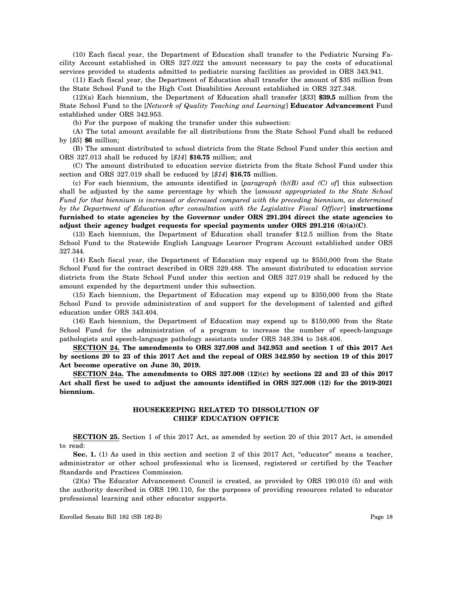(10) Each fiscal year, the Department of Education shall transfer to the Pediatric Nursing Facility Account established in ORS 327.022 the amount necessary to pay the costs of educational services provided to students admitted to pediatric nursing facilities as provided in ORS 343.941.

(11) Each fiscal year, the Department of Education shall transfer the amount of \$35 million from the State School Fund to the High Cost Disabilities Account established in ORS 327.348.

(12)(a) Each biennium, the Department of Education shall transfer [*\$33*] **\$39.5** million from the State School Fund to the [*Network of Quality Teaching and Learning*] **Educator Advancement** Fund established under ORS 342.953.

(b) For the purpose of making the transfer under this subsection:

(A) The total amount available for all distributions from the State School Fund shall be reduced by [*\$5*] **\$6** million;

(B) The amount distributed to school districts from the State School Fund under this section and ORS 327.013 shall be reduced by [*\$14*] **\$16.75** million; and

(C) The amount distributed to education service districts from the State School Fund under this section and ORS 327.019 shall be reduced by [*\$14*] **\$16.75** million.

(c) For each biennium, the amounts identified in [*paragraph (b)(B) and (C) of*] this subsection shall be adjusted by the same percentage by which the [*amount appropriated to the State School Fund for that biennium is increased or decreased compared with the preceding biennium, as determined by the Department of Education after consultation with the Legislative Fiscal Officer*] **instructions furnished to state agencies by the Governor under ORS 291.204 direct the state agencies to adjust their agency budget requests for special payments under ORS 291.216 (6)(a)(C)**.

(13) Each biennium, the Department of Education shall transfer \$12.5 million from the State School Fund to the Statewide English Language Learner Program Account established under ORS 327.344.

(14) Each fiscal year, the Department of Education may expend up to \$550,000 from the State School Fund for the contract described in ORS 329.488. The amount distributed to education service districts from the State School Fund under this section and ORS 327.019 shall be reduced by the amount expended by the department under this subsection.

(15) Each biennium, the Department of Education may expend up to \$350,000 from the State School Fund to provide administration of and support for the development of talented and gifted education under ORS 343.404.

(16) Each biennium, the Department of Education may expend up to \$150,000 from the State School Fund for the administration of a program to increase the number of speech-language pathologists and speech-language pathology assistants under ORS 348.394 to 348.406.

**SECTION 24. The amendments to ORS 327.008 and 342.953 and section 1 of this 2017 Act by sections 20 to 23 of this 2017 Act and the repeal of ORS 342.950 by section 19 of this 2017 Act become operative on June 30, 2019.**

**SECTION 24a. The amendments to ORS 327.008 (12)(c) by sections 22 and 23 of this 2017 Act shall first be used to adjust the amounts identified in ORS 327.008 (12) for the 2019-2021 biennium.**

#### **HOUSEKEEPING RELATED TO DISSOLUTION OF CHIEF EDUCATION OFFICE**

**SECTION 25.** Section 1 of this 2017 Act, as amended by section 20 of this 2017 Act, is amended to read:

**Sec. 1.** (1) As used in this section and section 2 of this 2017 Act, "educator" means a teacher, administrator or other school professional who is licensed, registered or certified by the Teacher Standards and Practices Commission.

(2)(a) The Educator Advancement Council is created, as provided by ORS 190.010 (5) and with the authority described in ORS 190.110, for the purposes of providing resources related to educator professional learning and other educator supports.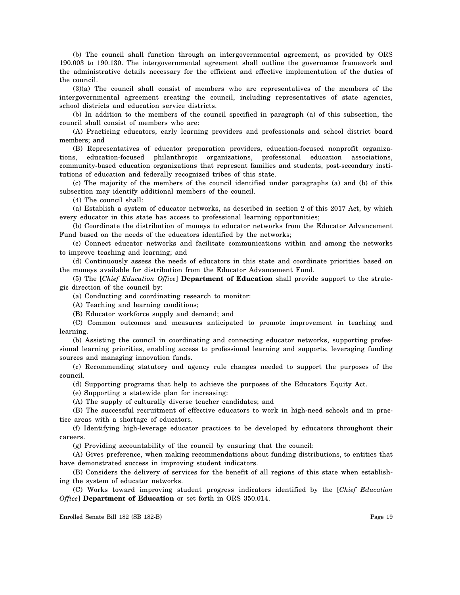(b) The council shall function through an intergovernmental agreement, as provided by ORS 190.003 to 190.130. The intergovernmental agreement shall outline the governance framework and the administrative details necessary for the efficient and effective implementation of the duties of the council.

(3)(a) The council shall consist of members who are representatives of the members of the intergovernmental agreement creating the council, including representatives of state agencies, school districts and education service districts.

(b) In addition to the members of the council specified in paragraph (a) of this subsection, the council shall consist of members who are:

(A) Practicing educators, early learning providers and professionals and school district board members; and

(B) Representatives of educator preparation providers, education-focused nonprofit organizations, education-focused philanthropic organizations, professional education associations, community-based education organizations that represent families and students, post-secondary institutions of education and federally recognized tribes of this state.

(c) The majority of the members of the council identified under paragraphs (a) and (b) of this subsection may identify additional members of the council.

(4) The council shall:

(a) Establish a system of educator networks, as described in section 2 of this 2017 Act, by which every educator in this state has access to professional learning opportunities;

(b) Coordinate the distribution of moneys to educator networks from the Educator Advancement Fund based on the needs of the educators identified by the networks;

(c) Connect educator networks and facilitate communications within and among the networks to improve teaching and learning; and

(d) Continuously assess the needs of educators in this state and coordinate priorities based on the moneys available for distribution from the Educator Advancement Fund.

(5) The [*Chief Education Office*] **Department of Education** shall provide support to the strategic direction of the council by:

(a) Conducting and coordinating research to monitor:

(A) Teaching and learning conditions;

(B) Educator workforce supply and demand; and

(C) Common outcomes and measures anticipated to promote improvement in teaching and learning.

(b) Assisting the council in coordinating and connecting educator networks, supporting professional learning priorities, enabling access to professional learning and supports, leveraging funding sources and managing innovation funds.

(c) Recommending statutory and agency rule changes needed to support the purposes of the council.

(d) Supporting programs that help to achieve the purposes of the Educators Equity Act.

(e) Supporting a statewide plan for increasing:

(A) The supply of culturally diverse teacher candidates; and

(B) The successful recruitment of effective educators to work in high-need schools and in practice areas with a shortage of educators.

(f) Identifying high-leverage educator practices to be developed by educators throughout their careers.

(g) Providing accountability of the council by ensuring that the council:

(A) Gives preference, when making recommendations about funding distributions, to entities that have demonstrated success in improving student indicators.

(B) Considers the delivery of services for the benefit of all regions of this state when establishing the system of educator networks.

(C) Works toward improving student progress indicators identified by the [*Chief Education Office*] **Department of Education** or set forth in ORS 350.014.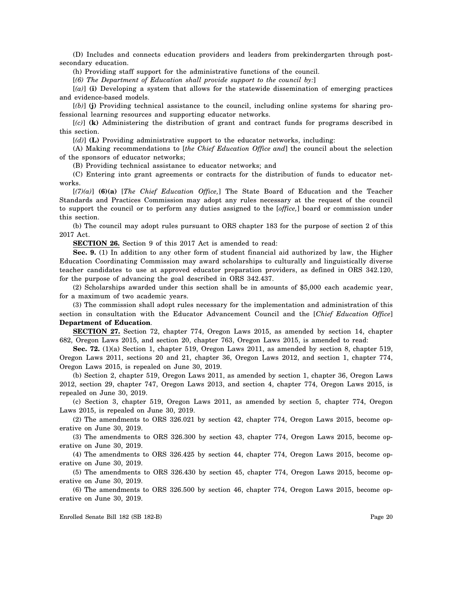(D) Includes and connects education providers and leaders from prekindergarten through postsecondary education.

(h) Providing staff support for the administrative functions of the council.

[*(6) The Department of Education shall provide support to the council by:*]

[*(a)*] **(i)** Developing a system that allows for the statewide dissemination of emerging practices and evidence-based models.

[*(b)*] **(j)** Providing technical assistance to the council, including online systems for sharing professional learning resources and supporting educator networks.

[*(c)*] **(k)** Administering the distribution of grant and contract funds for programs described in this section.

[*(d)*] **(L)** Providing administrative support to the educator networks, including:

(A) Making recommendations to [*the Chief Education Office and*] the council about the selection of the sponsors of educator networks;

(B) Providing technical assistance to educator networks; and

(C) Entering into grant agreements or contracts for the distribution of funds to educator networks.

[*(7)(a)*] **(6)(a)** [*The Chief Education Office,*] The State Board of Education and the Teacher Standards and Practices Commission may adopt any rules necessary at the request of the council to support the council or to perform any duties assigned to the [*office,*] board or commission under this section.

(b) The council may adopt rules pursuant to ORS chapter 183 for the purpose of section 2 of this 2017 Act.

**SECTION 26.** Section 9 of this 2017 Act is amended to read:

**Sec. 9.** (1) In addition to any other form of student financial aid authorized by law, the Higher Education Coordinating Commission may award scholarships to culturally and linguistically diverse teacher candidates to use at approved educator preparation providers, as defined in ORS 342.120, for the purpose of advancing the goal described in ORS 342.437.

(2) Scholarships awarded under this section shall be in amounts of \$5,000 each academic year, for a maximum of two academic years.

(3) The commission shall adopt rules necessary for the implementation and administration of this section in consultation with the Educator Advancement Council and the [*Chief Education Office*] **Department of Education**.

**SECTION 27.** Section 72, chapter 774, Oregon Laws 2015, as amended by section 14, chapter 682, Oregon Laws 2015, and section 20, chapter 763, Oregon Laws 2015, is amended to read:

**Sec. 72.** (1)(a) Section 1, chapter 519, Oregon Laws 2011, as amended by section 8, chapter 519, Oregon Laws 2011, sections 20 and 21, chapter 36, Oregon Laws 2012, and section 1, chapter 774, Oregon Laws 2015, is repealed on June 30, 2019.

(b) Section 2, chapter 519, Oregon Laws 2011, as amended by section 1, chapter 36, Oregon Laws 2012, section 29, chapter 747, Oregon Laws 2013, and section 4, chapter 774, Oregon Laws 2015, is repealed on June 30, 2019.

(c) Section 3, chapter 519, Oregon Laws 2011, as amended by section 5, chapter 774, Oregon Laws 2015, is repealed on June 30, 2019.

(2) The amendments to ORS 326.021 by section 42, chapter 774, Oregon Laws 2015, become operative on June 30, 2019.

(3) The amendments to ORS 326.300 by section 43, chapter 774, Oregon Laws 2015, become operative on June 30, 2019.

(4) The amendments to ORS 326.425 by section 44, chapter 774, Oregon Laws 2015, become operative on June 30, 2019.

(5) The amendments to ORS 326.430 by section 45, chapter 774, Oregon Laws 2015, become operative on June 30, 2019.

(6) The amendments to ORS 326.500 by section 46, chapter 774, Oregon Laws 2015, become operative on June 30, 2019.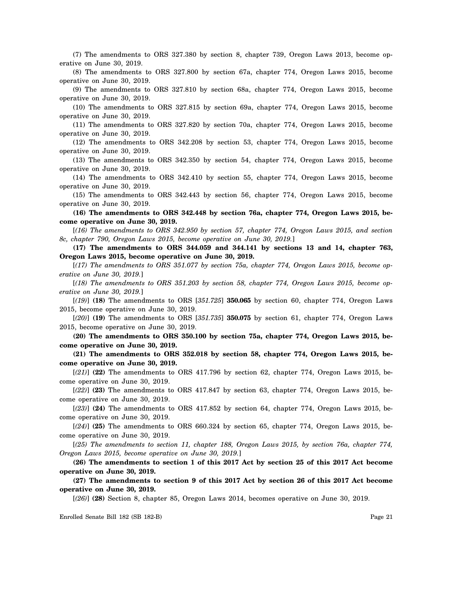(7) The amendments to ORS 327.380 by section 8, chapter 739, Oregon Laws 2013, become operative on June 30, 2019.

(8) The amendments to ORS 327.800 by section 67a, chapter 774, Oregon Laws 2015, become operative on June 30, 2019.

(9) The amendments to ORS 327.810 by section 68a, chapter 774, Oregon Laws 2015, become operative on June 30, 2019.

(10) The amendments to ORS 327.815 by section 69a, chapter 774, Oregon Laws 2015, become operative on June 30, 2019.

(11) The amendments to ORS 327.820 by section 70a, chapter 774, Oregon Laws 2015, become operative on June 30, 2019.

(12) The amendments to ORS 342.208 by section 53, chapter 774, Oregon Laws 2015, become operative on June 30, 2019.

(13) The amendments to ORS 342.350 by section 54, chapter 774, Oregon Laws 2015, become operative on June 30, 2019.

(14) The amendments to ORS 342.410 by section 55, chapter 774, Oregon Laws 2015, become operative on June 30, 2019.

(15) The amendments to ORS 342.443 by section 56, chapter 774, Oregon Laws 2015, become operative on June 30, 2019.

**(16) The amendments to ORS 342.448 by section 76a, chapter 774, Oregon Laws 2015, become operative on June 30, 2019.**

[*(16) The amendments to ORS 342.950 by section 57, chapter 774, Oregon Laws 2015, and section 8c, chapter 790, Oregon Laws 2015, become operative on June 30, 2019.*]

**(17) The amendments to ORS 344.059 and 344.141 by sections 13 and 14, chapter 763, Oregon Laws 2015, become operative on June 30, 2019.**

[*(17) The amendments to ORS 351.077 by section 75a, chapter 774, Oregon Laws 2015, become operative on June 30, 2019.*]

[*(18) The amendments to ORS 351.203 by section 58, chapter 774, Oregon Laws 2015, become operative on June 30, 2019.*]

[*(19)*] **(18)** The amendments to ORS [*351.725*] **350.065** by section 60, chapter 774, Oregon Laws 2015, become operative on June 30, 2019.

[*(20)*] **(19)** The amendments to ORS [*351.735*] **350.075** by section 61, chapter 774, Oregon Laws 2015, become operative on June 30, 2019.

**(20) The amendments to ORS 350.100 by section 75a, chapter 774, Oregon Laws 2015, become operative on June 30, 2019.**

**(21) The amendments to ORS 352.018 by section 58, chapter 774, Oregon Laws 2015, become operative on June 30, 2019.**

[*(21)*] **(22)** The amendments to ORS 417.796 by section 62, chapter 774, Oregon Laws 2015, become operative on June 30, 2019.

[*(22)*] **(23)** The amendments to ORS 417.847 by section 63, chapter 774, Oregon Laws 2015, become operative on June 30, 2019.

[*(23)*] **(24)** The amendments to ORS 417.852 by section 64, chapter 774, Oregon Laws 2015, become operative on June 30, 2019.

[*(24)*] **(25)** The amendments to ORS 660.324 by section 65, chapter 774, Oregon Laws 2015, become operative on June 30, 2019.

[*(25) The amendments to section 11, chapter 188, Oregon Laws 2015, by section 76a, chapter 774, Oregon Laws 2015, become operative on June 30, 2019.*]

**(26) The amendments to section 1 of this 2017 Act by section 25 of this 2017 Act become operative on June 30, 2019.**

**(27) The amendments to section 9 of this 2017 Act by section 26 of this 2017 Act become operative on June 30, 2019.**

[*(26)*] **(28)** Section 8, chapter 85, Oregon Laws 2014, becomes operative on June 30, 2019.